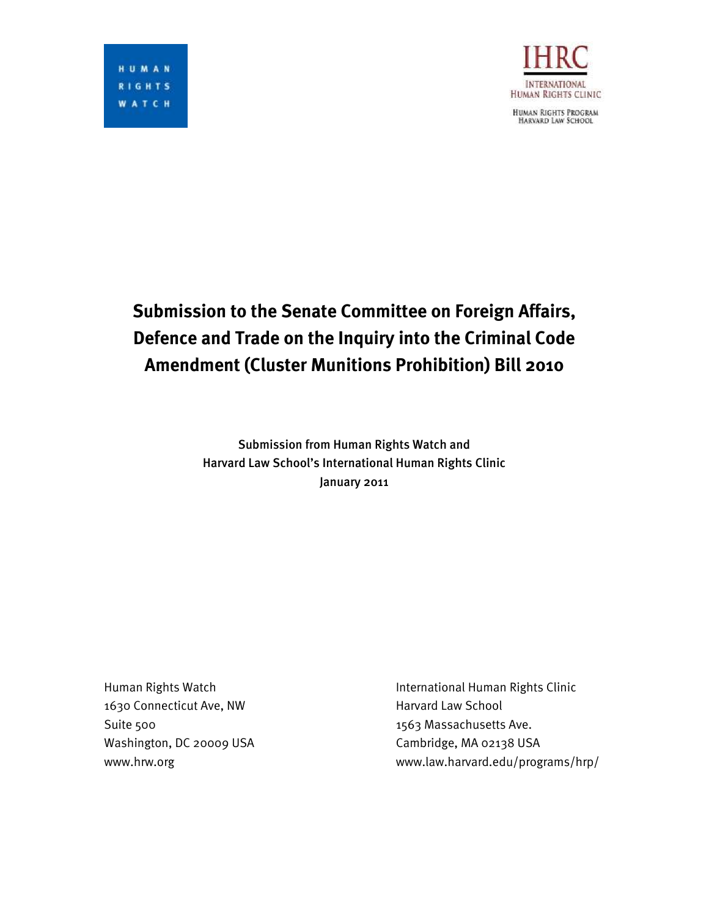

HUMAN RIGHTS PROGRAM<br>HARVARD LAW SCHOOL

# **Submission to the Senate Committee on Foreign Affairs, Defence and Trade on the Inquiry into the Criminal Code Amendment (Cluster Munitions Prohibition) Bill 2010**

Submission from Human Rights Watch and Harvard Law School's International Human Rights Clinic January 2011

1630 Connecticut Ave, NW Harvard Law School Suite 500 1563 Massachusetts Ave. Washington, DC 20009 USA Cambridge, MA 02138 USA

Human Rights Watch **International Human Rights Clinic** www.hrw.org www.law.harvard.edu/programs/hrp/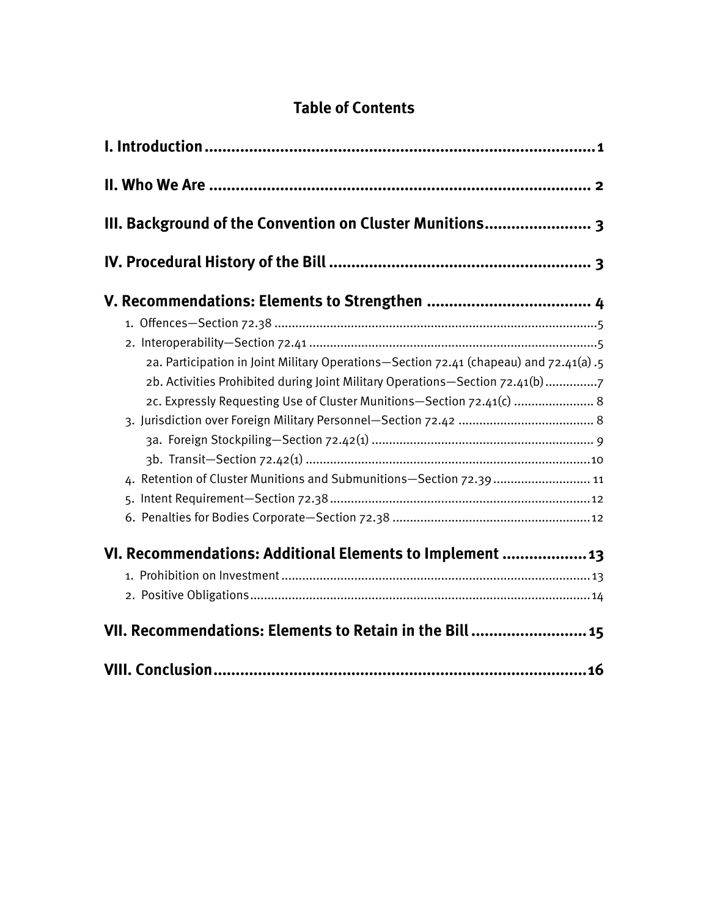# **Table of Contents**

| III. Background of the Convention on Cluster Munitions 3                                                                                                                                                                                                                                                                |  |
|-------------------------------------------------------------------------------------------------------------------------------------------------------------------------------------------------------------------------------------------------------------------------------------------------------------------------|--|
|                                                                                                                                                                                                                                                                                                                         |  |
| 2a. Participation in Joint Military Operations-Section 72.41 (chapeau) and 72.41(a) .5<br>2b. Activities Prohibited during Joint Military Operations-Section 72.41(b) 7<br>2c. Expressly Requesting Use of Cluster Munitions-Section 72.41(c)  8<br>4. Retention of Cluster Munitions and Submunitions-Section 72.39 11 |  |
| VI. Recommendations: Additional Elements to Implement  13<br>VII. Recommendations: Elements to Retain in the Bill  15                                                                                                                                                                                                   |  |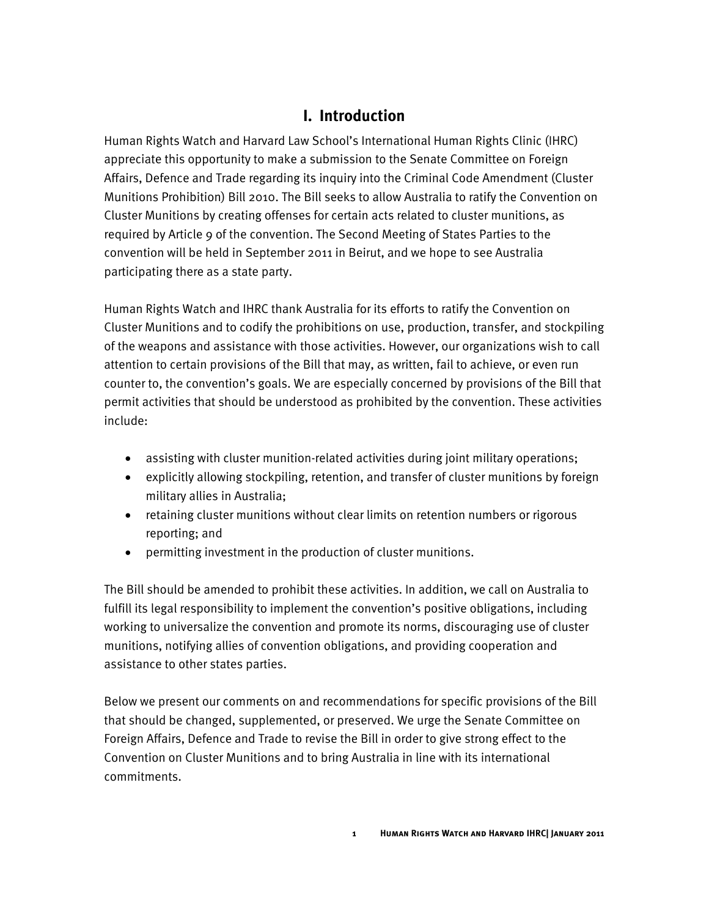## **I. Introduction**

<span id="page-4-0"></span>Human Rights Watch and Harvard Law School's International Human Rights Clinic (IHRC) appreciate this opportunity to make a submission to the Senate Committee on Foreign Affairs, Defence and Trade regarding its inquiry into the Criminal Code Amendment (Cluster Munitions Prohibition) Bill 2010. The Bill seeks to allow Australia to ratify the Convention on Cluster Munitions by creating offenses for certain acts related to cluster munitions, as required by Article 9 of the convention. The Second Meeting of States Parties to the convention will be held in September 2011 in Beirut, and we hope to see Australia participating there as a state party.

Human Rights Watch and IHRC thank Australia for its efforts to ratify the Convention on Cluster Munitions and to codify the prohibitions on use, production, transfer, and stockpiling of the weapons and assistance with those activities. However, our organizations wish to call attention to certain provisions of the Bill that may, as written, fail to achieve, or even run counter to, the convention's goals. We are especially concerned by provisions of the Bill that permit activities that should be understood as prohibited by the convention. These activities include:

- assisting with cluster munition-related activities during joint military operations;
- explicitly allowing stockpiling, retention, and transfer of cluster munitions by foreign military allies in Australia;
- retaining cluster munitions without clear limits on retention numbers or rigorous reporting; and
- permitting investment in the production of cluster munitions.

The Bill should be amended to prohibit these activities. In addition, we call on Australia to fulfill its legal responsibility to implement the convention's positive obligations, including working to universalize the convention and promote its norms, discouraging use of cluster munitions, notifying allies of convention obligations, and providing cooperation and assistance to other states parties.

Below we present our comments on and recommendations for specific provisions of the Bill that should be changed, supplemented, or preserved. We urge the Senate Committee on Foreign Affairs, Defence and Trade to revise the Bill in order to give strong effect to the Convention on Cluster Munitions and to bring Australia in line with its international commitments.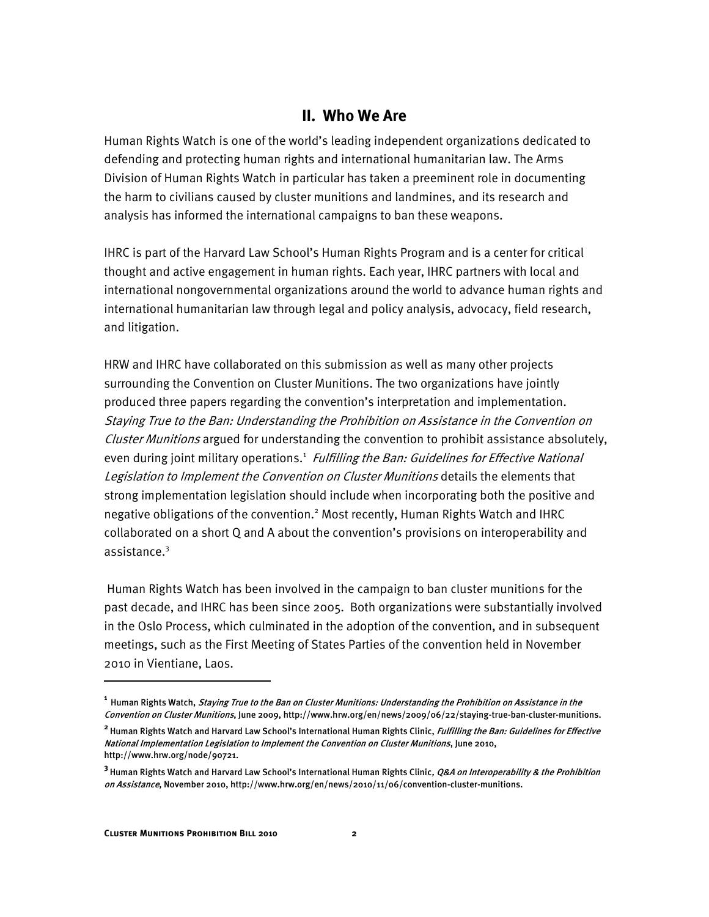#### **II. Who We Are**

<span id="page-5-0"></span>Human Rights Watch is one of the world's leading independent organizations dedicated to defending and protecting human rights and international humanitarian law. The Arms Division of Human Rights Watch in particular has taken a preeminent role in documenting the harm to civilians caused by cluster munitions and landmines, and its research and analysis has informed the international campaigns to ban these weapons.

IHRC is part of the Harvard Law School's Human Rights Program and is a center for critical thought and active engagement in human rights. Each year, IHRC partners with local and international nongovernmental organizations around the world to advance human rights and international humanitarian law through legal and policy analysis, advocacy, field research, and litigation.

HRW and IHRC have collaborated on this submission as well as many other projects surrounding the Convention on Cluster Munitions. The two organizations have jointly produced three papers regarding the convention's interpretation and implementation. Staying True to the Ban: Understanding the Prohibition on Assistance in the Convention on Cluster Munitions argued for understanding the convention to prohibit assistance absolutely, even during joint military operations.<sup>1</sup> Fulfilling the Ban: Guidelines for Effective National Legislation to Implement the Convention on Cluster Munitions details the elements that strong implementation legislation should include when incorporating both the positive and negative obligations of the convention.<sup>2</sup> Most recently, Human Rights Watch and IHRC collaborated on a short Q and A about the convention's provisions on interoperability and assistance.<sup>3</sup>

Human Rights Watch has been involved in the campaign to ban cluster munitions for the past decade, and IHRC has been since 2005. Both organizations were substantially involved in the Oslo Process, which culminated in the adoption of the convention, and in subsequent meetings, such as the First Meeting of States Parties of the convention held in November 2010 in Vientiane, Laos.

ֺ

<sup>&</sup>lt;sup>1</sup> Human Rights Watch, *Staying True to the Ban on Cluster Munitions: Understanding the Prohibition on Assistance in the* Convention on Cluster Munitions, June 2009, http://www.hrw.org/en/news/2009/06/22/staying-true-ban-cluster-munitions.

**<sup>2</sup>** Human Rights Watch and Harvard Law School's International Human Rights Clinic, Fulfilling the Ban: Guidelines for Effective National Implementation Legislation to Implement the Convention on Cluster Munitions, June 2010, http://www.hrw.org/node/90721.

**<sup>3</sup>** Human Rights Watch and Harvard Law School's International Human Rights Clinic, Q&A on Interoperability & the Prohibition on Assistance, November 2010, http://www.hrw.org/en/news/2010/11/06/convention-cluster-munitions.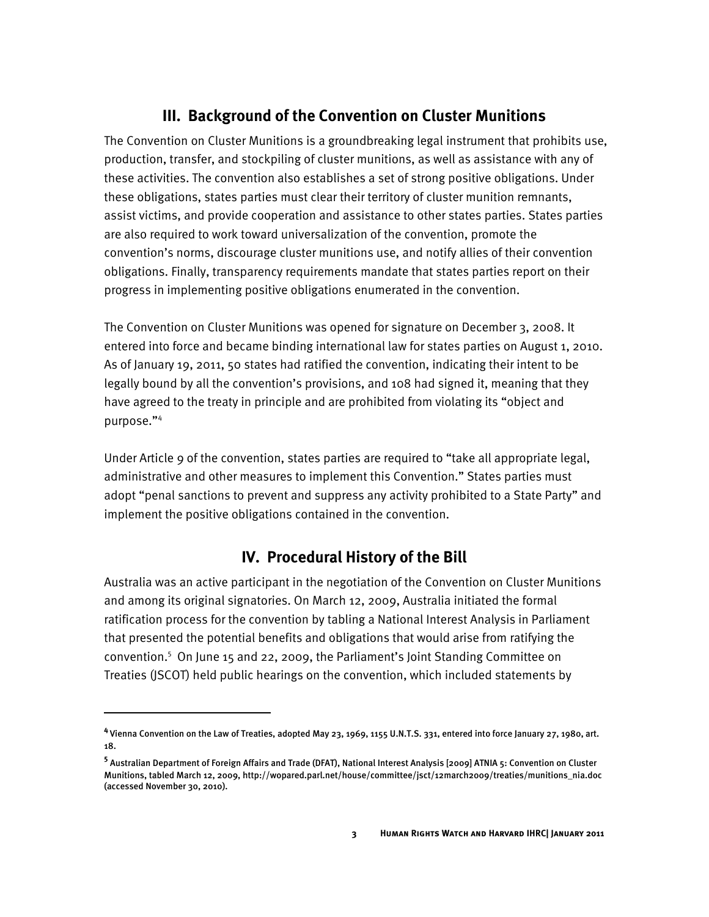## **III. Background of the Convention on Cluster Munitions**

<span id="page-6-0"></span>The Convention on Cluster Munitions is a groundbreaking legal instrument that prohibits use, production, transfer, and stockpiling of cluster munitions, as well as assistance with any of these activities. The convention also establishes a set of strong positive obligations. Under these obligations, states parties must clear their territory of cluster munition remnants, assist victims, and provide cooperation and assistance to other states parties. States parties are also required to work toward universalization of the convention, promote the convention's norms, discourage cluster munitions use, and notify allies of their convention obligations. Finally, transparency requirements mandate that states parties report on their progress in implementing positive obligations enumerated in the convention.

The Convention on Cluster Munitions was opened for signature on December 3, 2008. It entered into force and became binding international law for states parties on August 1, 2010. As of January 19, 2011, 50 states had ratified the convention, indicating their intent to be legally bound by all the convention's provisions, and 108 had signed it, meaning that they have agreed to the treaty in principle and are prohibited from violating its "object and purpose."<sup>4</sup>

Under Article 9 of the convention, states parties are required to "take all appropriate legal, administrative and other measures to implement this Convention." States parties must adopt "penal sanctions to prevent and suppress any activity prohibited to a State Party" and implement the positive obligations contained in the convention.

## **IV. Procedural History of the Bill**

<span id="page-6-1"></span>Australia was an active participant in the negotiation of the Convention on Cluster Munitions and among its original signatories. On March 12, 2009, Australia initiated the formal ratification process for the convention by tabling a National Interest Analysis in Parliament that presented the potential benefits and obligations that would arise from ratifying the convention.<sup>5</sup> On June 15 and 22, 2009, the Parliament's Joint Standing Committee on Treaties (JSCOT) held public hearings on the convention, which included statements by

<sup>&</sup>lt;sup>4</sup> Vienna Convention on the Law of Treaties, adopted May 23, 1969, 1155 U.N.T.S. 331, entered into force January 27, 1980, art. 18.

**<sup>5</sup>** Australian Department of Foreign Affairs and Trade (DFAT), National Interest Analysis [2009] ATNIA 5: Convention on Cluster Munitions, tabled March 12, 2009, http://wopared.parl.net/house/committee/jsct/12march2009/treaties/munitions\_nia.doc (accessed November 30, 2010).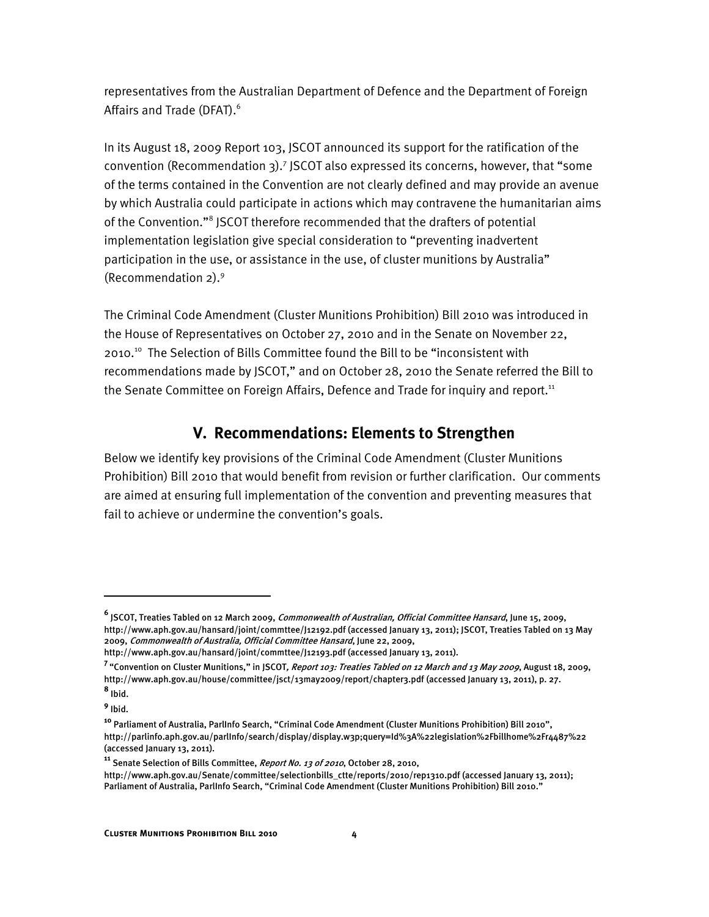representatives from the Australian Department of Defence and the Department of Foreign Affairs and Trade (DFAT).<sup>6</sup>

In its August 18, 2009 Report 103, JSCOT announced its support for the ratification of the convention (Recommendation 3).<sup>7</sup> JSCOT also expressed its concerns, however, that "some of the terms contained in the Convention are not clearly defined and may provide an avenue by which Australia could participate in actions which may contravene the humanitarian aims of the Convention."<sup>8</sup> JSCOT therefore recommended that the drafters of potential implementation legislation give special consideration to "preventing inadvertent participation in the use, or assistance in the use, of cluster munitions by Australia" (Recommendation 2).<sup>9</sup>

The Criminal Code Amendment (Cluster Munitions Prohibition) Bill 2010 was introduced in the House of Representatives on October 27, 2010 and in the Senate on November 22, 2010.<sup>10</sup> The Selection of Bills Committee found the Bill to be "inconsistent with recommendations made by JSCOT," and on October 28, 2010 the Senate referred the Bill to the Senate Committee on Foreign Affairs, Defence and Trade for inquiry and report.<sup>11</sup>

## **V. Recommendations: Elements to Strengthen**

<span id="page-7-0"></span>Below we identify key provisions of the Criminal Code Amendment (Cluster Munitions Prohibition) Bill 2010 that would benefit from revision or further clarification. Our comments are aimed at ensuring full implementation of the convention and preventing measures that fail to achieve or undermine the convention's goals.

**<sup>6</sup>** JSCOT, Treaties Tabled on 12 March 2009, Commonwealth of Australian, Official Committee Hansard, June 15, 2009, http://www.aph.gov.au/hansard/joint/commttee/J12192.pdf (accessed January 13, 2011); JSCOT, Treaties Tabled on 13 May 2009, Commonwealth of Australia, Official Committee Hansard, June 22, 2009,

http://www.aph.gov.au/hansard/joint/commttee/J12193.pdf (accessed January 13, 2011).

<sup>&</sup>lt;sup>7</sup> "Convention on Cluster Munitions," in JSCOT*, Report 103: Treaties Tabled on 12 March and 13 May 2009*, August 18, 2009, http://www.aph.gov.au/house/committee/jsct/13may2009/report/chapter3.pdf (accessed January 13, 2011), p. 27. **8** Ibid.

**<sup>9</sup>** Ibid.

**<sup>10</sup>** Parliament of Australia, ParlInfo Search, "Criminal Code Amendment (Cluster Munitions Prohibition) Bill 2010", http://parlinfo.aph.gov.au/parlInfo/search/display/display.w3p;query=Id%3A%22legislation%2Fbillhome%2Fr4487%22 (accessed January 13, 2011).

<sup>&</sup>lt;sup>11</sup> Senate Selection of Bills Committee, Report No. 13 of 2010, October 28, 2010,

http://www.aph.gov.au/Senate/committee/selectionbills\_ctte/reports/2010/rep1310.pdf (accessed January 13, 2011); Parliament of Australia, ParlInfo Search, "Criminal Code Amendment (Cluster Munitions Prohibition) Bill 2010."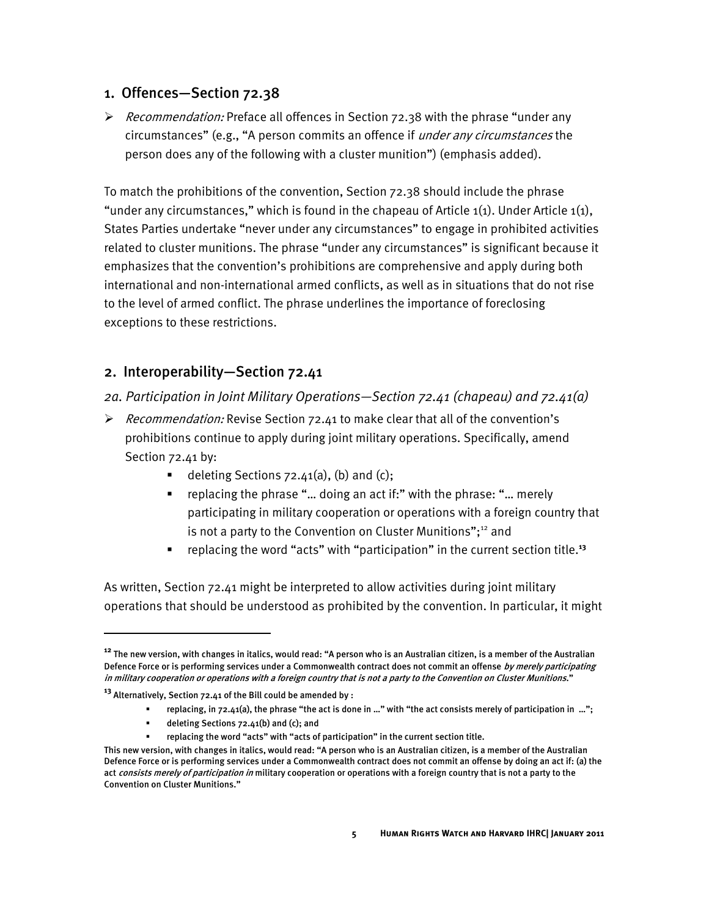#### <span id="page-8-0"></span>1. Offences—Section 72.38

Recommendation: Preface all offences in Section  $72.38$  with the phrase "under any circumstances" (e.g., "A person commits an offence if under any circumstances the person does any of the following with a cluster munition") (emphasis added).

To match the prohibitions of the convention, Section 72.38 should include the phrase "under any circumstances," which is found in the chapeau of Article  $1(1)$ . Under Article  $1(1)$ , States Parties undertake "never under any circumstances" to engage in prohibited activities related to cluster munitions. The phrase "under any circumstances" is significant because it emphasizes that the convention's prohibitions are comprehensive and apply during both international and non-international armed conflicts, as well as in situations that do not rise to the level of armed conflict. The phrase underlines the importance of foreclosing exceptions to these restrictions.

#### <span id="page-8-1"></span>2. Interoperability—Section 72.41

- <span id="page-8-2"></span>*2a. Participation in Joint Military Operations—Section 72.41 (chapeau) and 72.41(a)*
- Recommendation: Revise Section 72.41 to make clear that all of the convention's prohibitions continue to apply during joint military operations. Specifically, amend Section 72.41 by:
	- deleting Sections  $72.41(a)$ , (b) and (c);
	- **•** replacing the phrase "... doing an act if:" with the phrase: "... merely participating in military cooperation or operations with a foreign country that is not a party to the Convention on Cluster Munitions";<sup>12</sup> and
	- replacing the word "acts" with "participation" in the current section title.<sup>13</sup>

As written, Section 72.41 might be interpreted to allow activities during joint military operations that should be understood as prohibited by the convention. In particular, it might

- replacing, in 72.41(a), the phrase "the act is done in …" with "the act consists merely of participation in …";
- deleting Sections 72.41(b) and (c); and

**<sup>12</sup>** The new version, with changes in italics, would read: "A person who is an Australian citizen, is a member of the Australian Defence Force or is performing services under a Commonwealth contract does not commit an offense by merely participating in military cooperation or operations with a foreign country that is not a party to the Convention on Cluster Munitions."

**<sup>13</sup>** Alternatively, Section 72.41 of the Bill could be amended by :

replacing the word "acts" with "acts of participation" in the current section title.

This new version, with changes in italics, would read: "A person who is an Australian citizen, is a member of the Australian Defence Force or is performing services under a Commonwealth contract does not commit an offense by doing an act if: (a) the act consists merely of participation in military cooperation or operations with a foreign country that is not a party to the Convention on Cluster Munitions."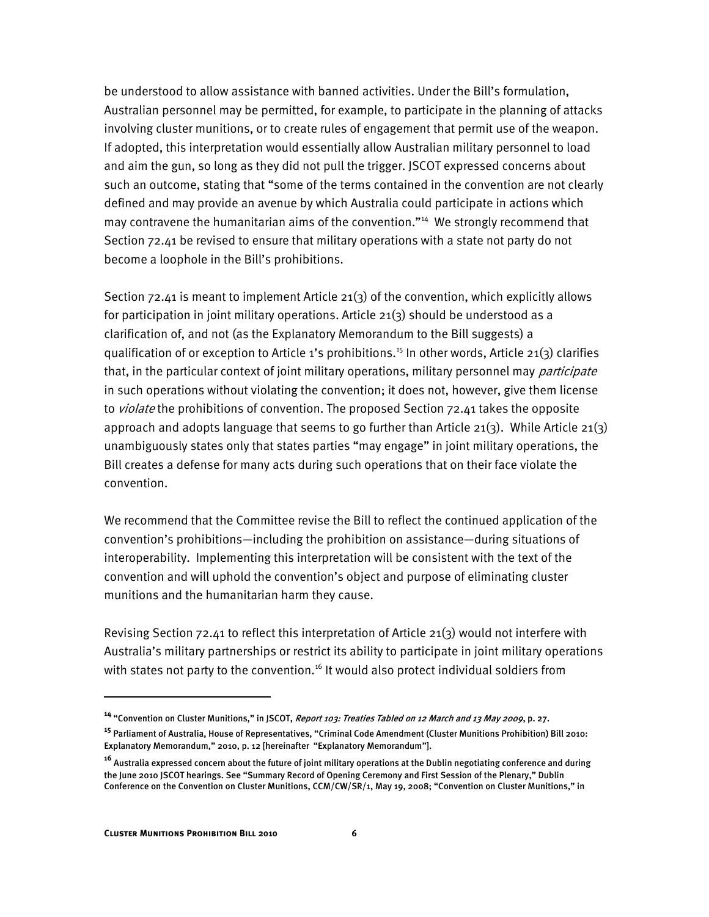be understood to allow assistance with banned activities. Under the Bill's formulation, Australian personnel may be permitted, for example, to participate in the planning of attacks involving cluster munitions, or to create rules of engagement that permit use of the weapon. If adopted, this interpretation would essentially allow Australian military personnel to load and aim the gun, so long as they did not pull the trigger. JSCOT expressed concerns about such an outcome, stating that "some of the terms contained in the convention are not clearly defined and may provide an avenue by which Australia could participate in actions which may contravene the humanitarian aims of the convention."<sup>14</sup> We strongly recommend that Section 72.41 be revised to ensure that military operations with a state not party do not become a loophole in the Bill's prohibitions.

Section 72.41 is meant to implement Article 21(3) of the convention, which explicitly allows for participation in joint military operations. Article 21(3) should be understood as a clarification of, and not (as the Explanatory Memorandum to the Bill suggests) a qualification of or exception to Article 1's prohibitions.<sup>15</sup> In other words, Article 21(3) clarifies that, in the particular context of joint military operations, military personnel may *participate* in such operations without violating the convention; it does not, however, give them license to *violate* the prohibitions of convention. The proposed Section 72.41 takes the opposite approach and adopts language that seems to go further than Article 21(3). While Article 21(3) unambiguously states only that states parties "may engage" in joint military operations, the Bill creates a defense for many acts during such operations that on their face violate the convention.

We recommend that the Committee revise the Bill to reflect the continued application of the convention's prohibitions—including the prohibition on assistance—during situations of interoperability. Implementing this interpretation will be consistent with the text of the convention and will uphold the convention's object and purpose of eliminating cluster munitions and the humanitarian harm they cause.

Revising Section 72.41 to reflect this interpretation of Article 21(3) would not interfere with Australia's military partnerships or restrict its ability to participate in joint military operations with states not party to the convention.<sup>16</sup> It would also protect individual soldiers from

**<sup>14</sup>** "Convention on Cluster Munitions," in JSCOT, Report 103: Treaties Tabled on 12 March and 13 May 2009, p. 27.

**<sup>15</sup>** Parliament of Australia, House of Representatives, "Criminal Code Amendment (Cluster Munitions Prohibition) Bill 2010: Explanatory Memorandum," 2010, p. 12 [hereinafter "Explanatory Memorandum"].

**<sup>16</sup>** Australia expressed concern about the future of joint military operations at the Dublin negotiating conference and during the June 2010 JSCOT hearings. See "Summary Record of Opening Ceremony and First Session of the Plenary," Dublin Conference on the Convention on Cluster Munitions, CCM/CW/SR/1, May 19, 2008; "Convention on Cluster Munitions," in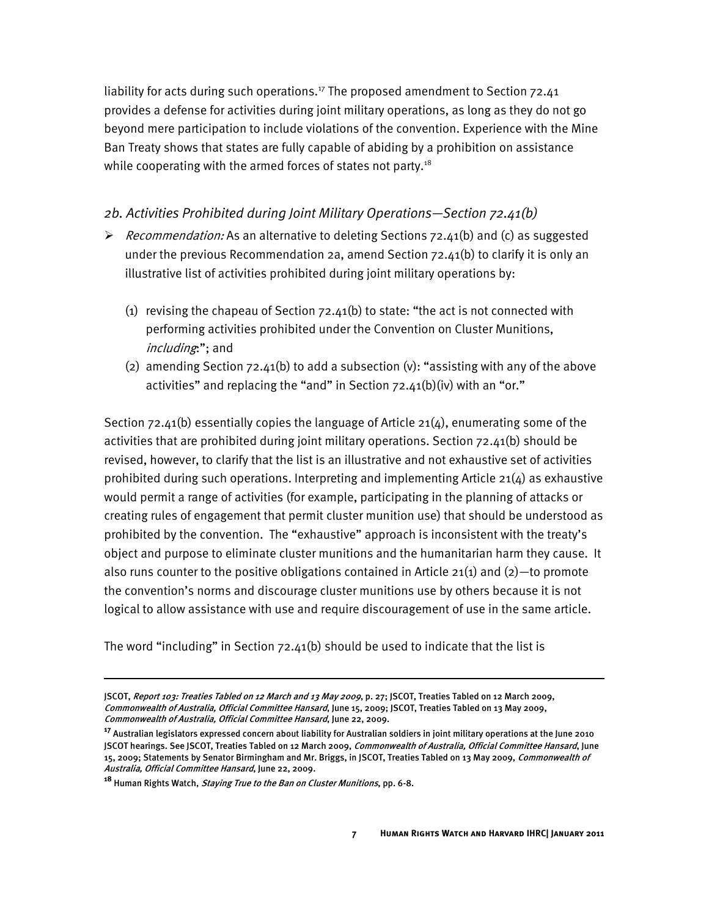liability for acts during such operations.<sup>17</sup> The proposed amendment to Section  $72.41$ provides a defense for activities during joint military operations, as long as they do not go beyond mere participation to include violations of the convention. Experience with the Mine Ban Treaty shows that states are fully capable of abiding by a prohibition on assistance while cooperating with the armed forces of states not party. $18$ 

#### <span id="page-10-0"></span>*2b. Activities Prohibited during Joint Military Operations—Section 72.41(b)*

- Recommendation: As an alternative to deleting Sections  $72.41(b)$  and (c) as suggested under the previous Recommendation 2a, amend Section 72.41(b) to clarify it is only an illustrative list of activities prohibited during joint military operations by:
	- (1) revising the chapeau of Section  $72.41(b)$  to state: "the act is not connected with performing activities prohibited under the Convention on Cluster Munitions, including:"; and
	- (2) amending Section  $72.41(b)$  to add a subsection (v): "assisting with any of the above activities" and replacing the "and" in Section  $72.41(b)(iv)$  with an "or."

Section 72.41(b) essentially copies the language of Article 21(4), enumerating some of the activities that are prohibited during joint military operations. Section 72.41(b) should be revised, however, to clarify that the list is an illustrative and not exhaustive set of activities prohibited during such operations. Interpreting and implementing Article  $21(4)$  as exhaustive would permit a range of activities (for example, participating in the planning of attacks or creating rules of engagement that permit cluster munition use) that should be understood as prohibited by the convention. The "exhaustive" approach is inconsistent with the treaty's object and purpose to eliminate cluster munitions and the humanitarian harm they cause. It also runs counter to the positive obligations contained in Article  $21(1)$  and  $(2)$ —to promote the convention's norms and discourage cluster munitions use by others because it is not logical to allow assistance with use and require discouragement of use in the same article.

The word "including" in Section  $72.41(b)$  should be used to indicate that the list is

JSCOT, Report 103: Treaties Tabled on 12 March and 13 May 2009, p. 27; JSCOT, Treaties Tabled on 12 March 2009, Commonwealth of Australia, Official Committee Hansard, June 15, 2009; JSCOT, Treaties Tabled on 13 May 2009, Commonwealth of Australia, Official Committee Hansard, June 22, 2009.

**<sup>17</sup>** Australian legislators expressed concern about liability for Australian soldiers in joint military operations at the June 2010 JSCOT hearings. See JSCOT, Treaties Tabled on 12 March 2009, Commonwealth of Australia, Official Committee Hansard, June 15, 2009; Statements by Senator Birmingham and Mr. Briggs, in JSCOT, Treaties Tabled on 13 May 2009, Commonwealth of Australia, Official Committee Hansard, June 22, 2009.

**<sup>18</sup>** Human Rights Watch, Staying True to the Ban on Cluster Munitions, pp. 6-8.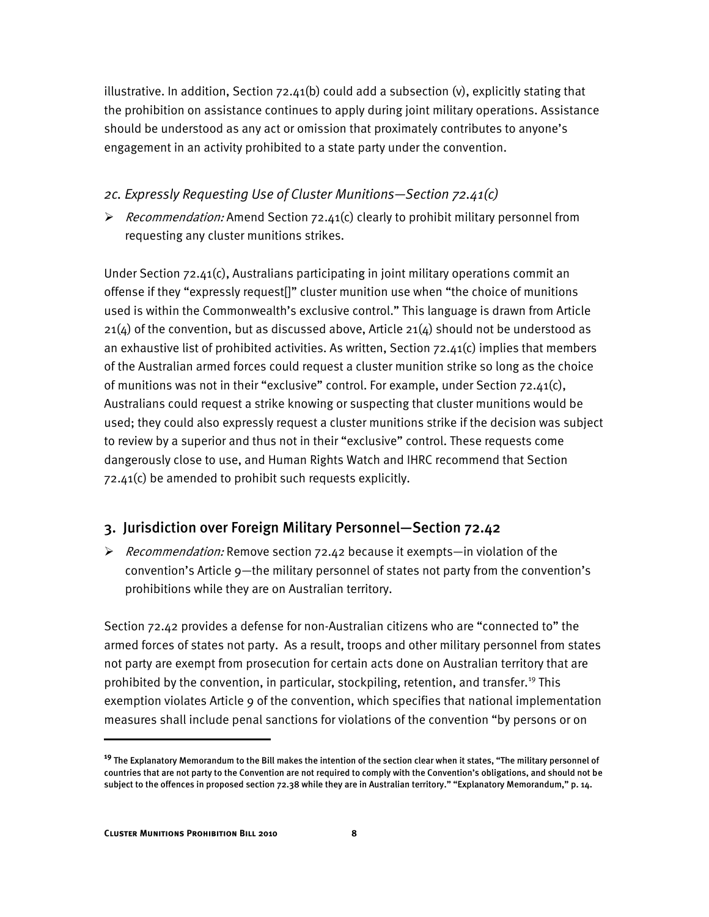illustrative. In addition, Section  $72.41(b)$  could add a subsection (v), explicitly stating that the prohibition on assistance continues to apply during joint military operations. Assistance should be understood as any act or omission that proximately contributes to anyone's engagement in an activity prohibited to a state party under the convention.

#### <span id="page-11-0"></span>*2c. Expressly Requesting Use of Cluster Munitions—Section 72.41(c)*

Recommendation: Amend Section 72.41(c) clearly to prohibit military personnel from requesting any cluster munitions strikes.

Under Section 72.41(c), Australians participating in joint military operations commit an offense if they "expressly request[]" cluster munition use when "the choice of munitions used is within the Commonwealth's exclusive control." This language is drawn from Article  $21(4)$  of the convention, but as discussed above, Article  $21(4)$  should not be understood as an exhaustive list of prohibited activities. As written, Section  $72.41(c)$  implies that members of the Australian armed forces could request a cluster munition strike so long as the choice of munitions was not in their "exclusive" control. For example, under Section 72.41(c), Australians could request a strike knowing or suspecting that cluster munitions would be used; they could also expressly request a cluster munitions strike if the decision was subject to review by a superior and thus not in their "exclusive" control. These requests come dangerously close to use, and Human Rights Watch and IHRC recommend that Section 72.41(c) be amended to prohibit such requests explicitly.

## <span id="page-11-1"></span>3. Jurisdiction over Foreign Military Personnel—Section 72.42

 $\triangleright$  Recommendation: Remove section 72.42 because it exempts—in violation of the convention's Article 9—the military personnel of states not party from the convention's prohibitions while they are on Australian territory.

Section 72.42 provides a defense for non-Australian citizens who are "connected to" the armed forces of states not party. As a result, troops and other military personnel from states not party are exempt from prosecution for certain acts done on Australian territory that are prohibited by the convention, in particular, stockpiling, retention, and transfer.<sup>19</sup> This exemption violates Article 9 of the convention, which specifies that national implementation measures shall include penal sanctions for violations of the convention "by persons or on

**<sup>19</sup>** The Explanatory Memorandum to the Bill makes the intention of the section clear when it states, "The military personnel of countries that are not party to the Convention are not required to comply with the Convention's obligations, and should not be subject to the offences in proposed section 72.38 while they are in Australian territory." "Explanatory Memorandum," p. 14.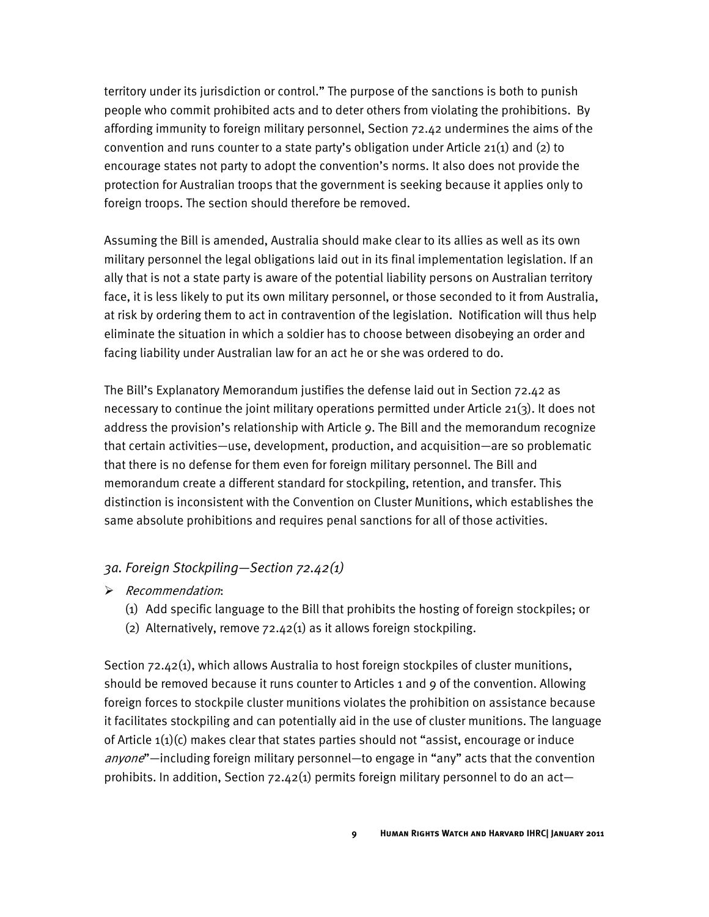territory under its jurisdiction or control." The purpose of the sanctions is both to punish people who commit prohibited acts and to deter others from violating the prohibitions. By affording immunity to foreign military personnel, Section 72.42 undermines the aims of the convention and runs counter to a state party's obligation under Article 21(1) and (2) to encourage states not party to adopt the convention's norms. It also does not provide the protection for Australian troops that the government is seeking because it applies only to foreign troops. The section should therefore be removed.

Assuming the Bill is amended, Australia should make clear to its allies as well as its own military personnel the legal obligations laid out in its final implementation legislation. If an ally that is not a state party is aware of the potential liability persons on Australian territory face, it is less likely to put its own military personnel, or those seconded to it from Australia, at risk by ordering them to act in contravention of the legislation. Notification will thus help eliminate the situation in which a soldier has to choose between disobeying an order and facing liability under Australian law for an act he or she was ordered to do.

The Bill's Explanatory Memorandum justifies the defense laid out in Section 72.42 as necessary to continue the joint military operations permitted under Article 21(3). It does not address the provision's relationship with Article 9. The Bill and the memorandum recognize that certain activities—use, development, production, and acquisition—are so problematic that there is no defense for them even for foreign military personnel. The Bill and memorandum create a different standard for stockpiling, retention, and transfer. This distinction is inconsistent with the Convention on Cluster Munitions, which establishes the same absolute prohibitions and requires penal sanctions for all of those activities.

#### <span id="page-12-0"></span>*3a. Foreign Stockpiling—Section 72.42(1)*

- $\triangleright$  Recommendation:
	- (1) Add specific language to the Bill that prohibits the hosting of foreign stockpiles; or
	- (2) Alternatively, remove  $72.42(1)$  as it allows foreign stockpiling.

Section 72.42(1), which allows Australia to host foreign stockpiles of cluster munitions, should be removed because it runs counter to Articles 1 and 9 of the convention. Allowing foreign forces to stockpile cluster munitions violates the prohibition on assistance because it facilitates stockpiling and can potentially aid in the use of cluster munitions. The language of Article  $1(1)(c)$  makes clear that states parties should not "assist, encourage or induce anyone"—including foreign military personnel—to engage in "any" acts that the convention prohibits. In addition, Section 72.42(1) permits foreign military personnel to do an act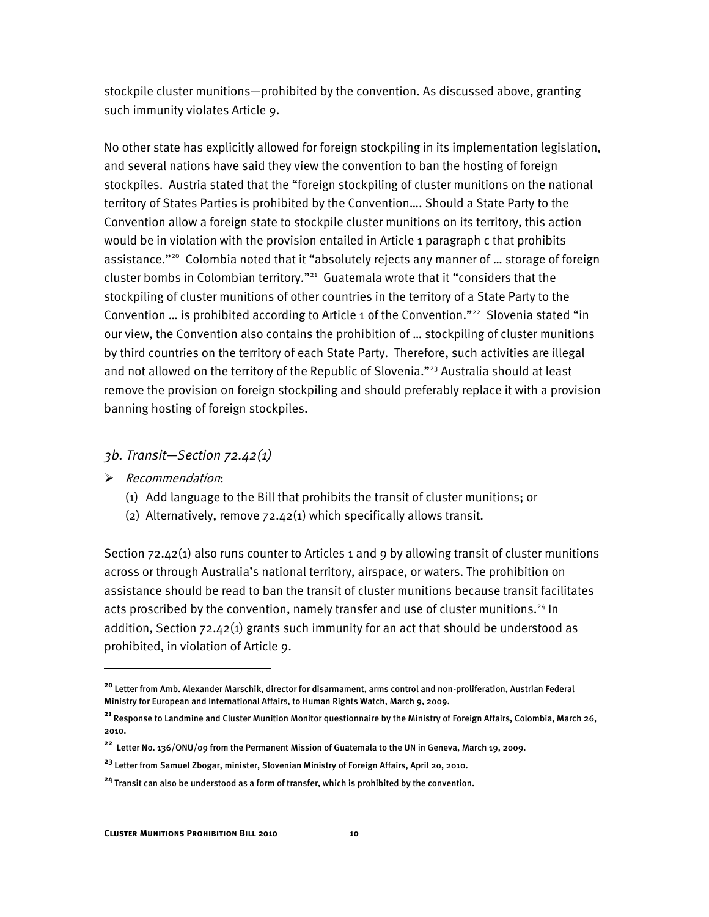stockpile cluster munitions—prohibited by the convention. As discussed above, granting such immunity violates Article 9.

No other state has explicitly allowed for foreign stockpiling in its implementation legislation, and several nations have said they view the convention to ban the hosting of foreign stockpiles. Austria stated that the "foreign stockpiling of cluster munitions on the national territory of States Parties is prohibited by the Convention…. Should a State Party to the Convention allow a foreign state to stockpile cluster munitions on its territory, this action would be in violation with the provision entailed in Article 1 paragraph c that prohibits assistance."<sup>20</sup> Colombia noted that it "absolutely rejects any manner of ... storage of foreign cluster bombs in Colombian territory."<sup>21</sup> Guatemala wrote that it "considers that the stockpiling of cluster munitions of other countries in the territory of a State Party to the Convention ... is prohibited according to Article 1 of the Convention."<sup>22</sup> Slovenia stated "in our view, the Convention also contains the prohibition of … stockpiling of cluster munitions by third countries on the territory of each State Party. Therefore, such activities are illegal and not allowed on the territory of the Republic of Slovenia."<sup>23</sup> Australia should at least remove the provision on foreign stockpiling and should preferably replace it with a provision banning hosting of foreign stockpiles.

#### <span id="page-13-0"></span>*3b. Transit—Section 72.42(1)*

 $\triangleright$  Recommendation:

I

- (1) Add language to the Bill that prohibits the transit of cluster munitions; or
- (2) Alternatively, remove 72.42(1) which specifically allows transit.

Section 72.42(1) also runs counter to Articles 1 and 9 by allowing transit of cluster munitions across or through Australia's national territory, airspace, or waters. The prohibition on assistance should be read to ban the transit of cluster munitions because transit facilitates acts proscribed by the convention, namely transfer and use of cluster munitions.<sup>24</sup> In addition, Section 72.42(1) grants such immunity for an act that should be understood as prohibited, in violation of Article 9.

**<sup>20</sup>** Letter from Amb. Alexander Marschik, director for disarmament, arms control and non-proliferation, Austrian Federal Ministry for European and International Affairs, to Human Rights Watch, March 9, 2009.

**<sup>21</sup>** Response to Landmine and Cluster Munition Monitor questionnaire by the Ministry of Foreign Affairs, Colombia, March 26, 2010.

**<sup>22</sup>** Letter No. 136/ONU/09 from the Permanent Mission of Guatemala to the UN in Geneva, March 19, 2009.

**<sup>23</sup>** Letter from Samuel Zbogar, minister, Slovenian Ministry of Foreign Affairs, April 20, 2010.

**<sup>24</sup>** Transit can also be understood as a form of transfer, which is prohibited by the convention.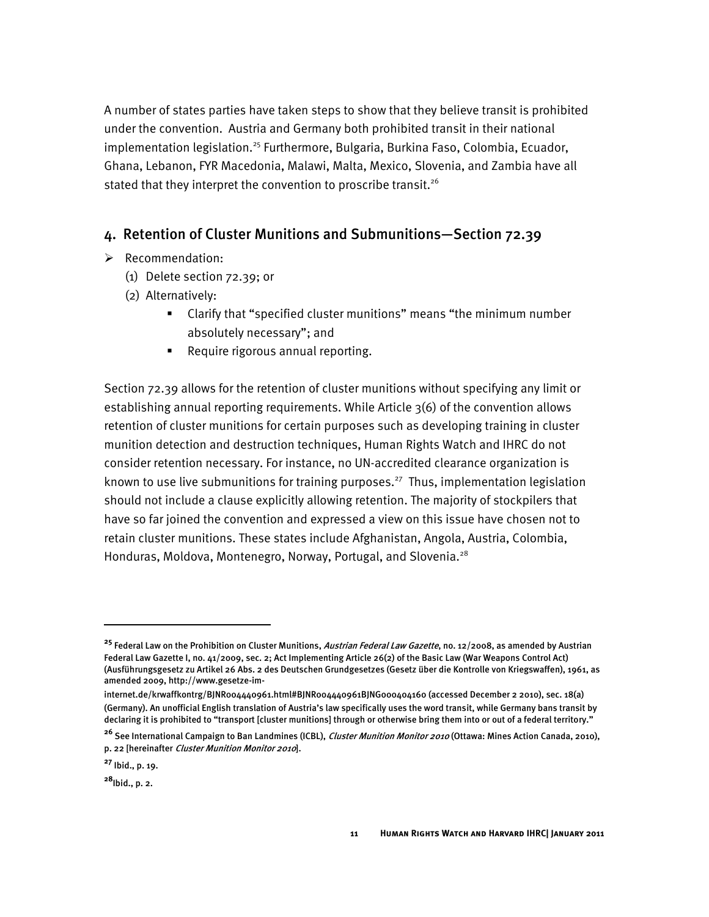A number of states parties have taken steps to show that they believe transit is prohibited under the convention. Austria and Germany both prohibited transit in their national implementation legislation.<sup>25</sup> Furthermore, Bulgaria, Burkina Faso, Colombia, Ecuador, Ghana, Lebanon, FYR Macedonia, Malawi, Malta, Mexico, Slovenia, and Zambia have all stated that they interpret the convention to proscribe transit.<sup>26</sup>

#### <span id="page-14-0"></span>4. Retention of Cluster Munitions and Submunitions—Section 72.39

- $\triangleright$  Recommendation:
	- (1) Delete section 72.39; or
	- (2) Alternatively:
		- Clarify that "specified cluster munitions" means "the minimum number absolutely necessary"; and
		- **Require rigorous annual reporting.**

Section 72.39 allows for the retention of cluster munitions without specifying any limit or establishing annual reporting requirements. While Article 3(6) of the convention allows retention of cluster munitions for certain purposes such as developing training in cluster munition detection and destruction techniques, Human Rights Watch and IHRC do not consider retention necessary. For instance, no UN-accredited clearance organization is known to use live submunitions for training purposes.<sup>27</sup> Thus, implementation legislation should not include a clause explicitly allowing retention. The majority of stockpilers that have so far joined the convention and expressed a view on this issue have chosen not to retain cluster munitions. These states include Afghanistan, Angola, Austria, Colombia, Honduras, Moldova, Montenegro, Norway, Portugal, and Slovenia.<sup>28</sup>

ֺ

**<sup>25</sup>** Federal Law on the Prohibition on Cluster Munitions, Austrian Federal Law Gazette, no. 12/2008, as amended by Austrian Federal Law Gazette I, no. 41/2009, sec. 2; Act Implementing Article 26(2) of the Basic Law (War Weapons Control Act) (Ausführungsgesetz zu Artikel 26 Abs. 2 des Deutschen Grundgesetzes (Gesetz über die Kontrolle von Kriegswaffen), 1961, as amended 2009, http://www.gesetze-im-

internet.de/krwaffkontrg/BJNR004440961.html#BJNR004440961BJNG000404160 (accessed December 2 2010), sec. 18(a) (Germany). An unofficial English translation of Austria's law specifically uses the word transit, while Germany bans transit by declaring it is prohibited to "transport [cluster munitions] through or otherwise bring them into or out of a federal territory."

<sup>&</sup>lt;sup>26</sup> See International Campaign to Ban Landmines (ICBL), *Cluster Munition Monitor 2010* (Ottawa: Mines Action Canada, 2010), p. 22 [hereinafter Cluster Munition Monitor 2010].

**<sup>27</sup>** Ibid., p. 19.

**<sup>28</sup>**Ibid., p. 2.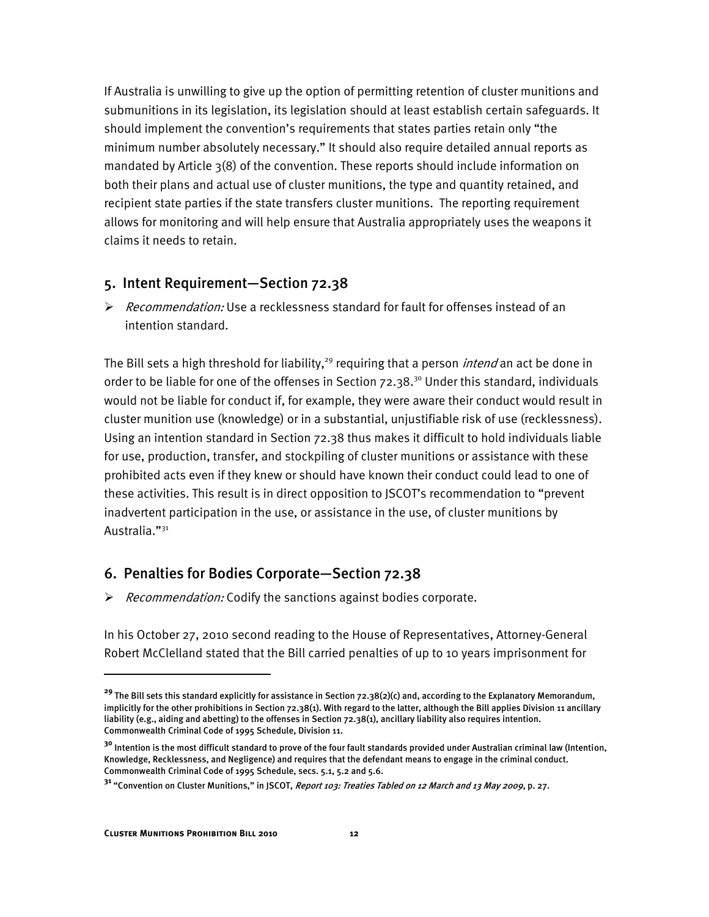If Australia is unwilling to give up the option of permitting retention of cluster munitions and submunitions in its legislation, its legislation should at least establish certain safeguards. It should implement the convention's requirements that states parties retain only "the minimum number absolutely necessary." It should also require detailed annual reports as mandated by Article 3(8) of the convention. These reports should include information on both their plans and actual use of cluster munitions, the type and quantity retained, and recipient state parties if the state transfers cluster munitions. The reporting requirement allows for monitoring and will help ensure that Australia appropriately uses the weapons it claims it needs to retain.

#### <span id="page-15-0"></span>5. Intent Requirement—Section 72.38

 $\triangleright$  Recommendation: Use a recklessness standard for fault for offenses instead of an intention standard.

The Bill sets a high threshold for liability,<sup>29</sup> requiring that a person *intend* an act be done in order to be liable for one of the offenses in Section  $72.38$ .<sup>30</sup> Under this standard, individuals would not be liable for conduct if, for example, they were aware their conduct would result in cluster munition use (knowledge) or in a substantial, unjustifiable risk of use (recklessness). Using an intention standard in Section 72.38 thus makes it difficult to hold individuals liable for use, production, transfer, and stockpiling of cluster munitions or assistance with these prohibited acts even if they knew or should have known their conduct could lead to one of these activities. This result is in direct opposition to JSCOT's recommendation to "prevent inadvertent participation in the use, or assistance in the use, of cluster munitions by Australia."<sup>31</sup>

#### <span id="page-15-1"></span>6. Penalties for Bodies Corporate—Section 72.38

 $\triangleright$  Recommendation: Codify the sanctions against bodies corporate.

In his October 27, 2010 second reading to the House of Representatives, Attorney-General Robert McClelland stated that the Bill carried penalties of up to 10 years imprisonment for

**<sup>29</sup>** The Bill sets this standard explicitly for assistance in Section 72.38(2)(c) and, according to the Explanatory Memorandum, implicitly for the other prohibitions in Section 72.38(1). With regard to the latter, although the Bill applies Division 11 ancillary liability (e.g., aiding and abetting) to the offenses in Section 72.38(1), ancillary liability also requires intention. Commonwealth Criminal Code of 1995 Schedule, Division 11.

**<sup>30</sup>** Intention is the most difficult standard to prove of the four fault standards provided under Australian criminal law (Intention, Knowledge, Recklessness, and Negligence) and requires that the defendant means to engage in the criminal conduct. Commonwealth Criminal Code of 1995 Schedule, secs. 5.1, 5.2 and 5.6.

**<sup>31</sup>** "Convention on Cluster Munitions," in JSCOT, Report 103: Treaties Tabled on 12 March and 13 May 2009, p. 27.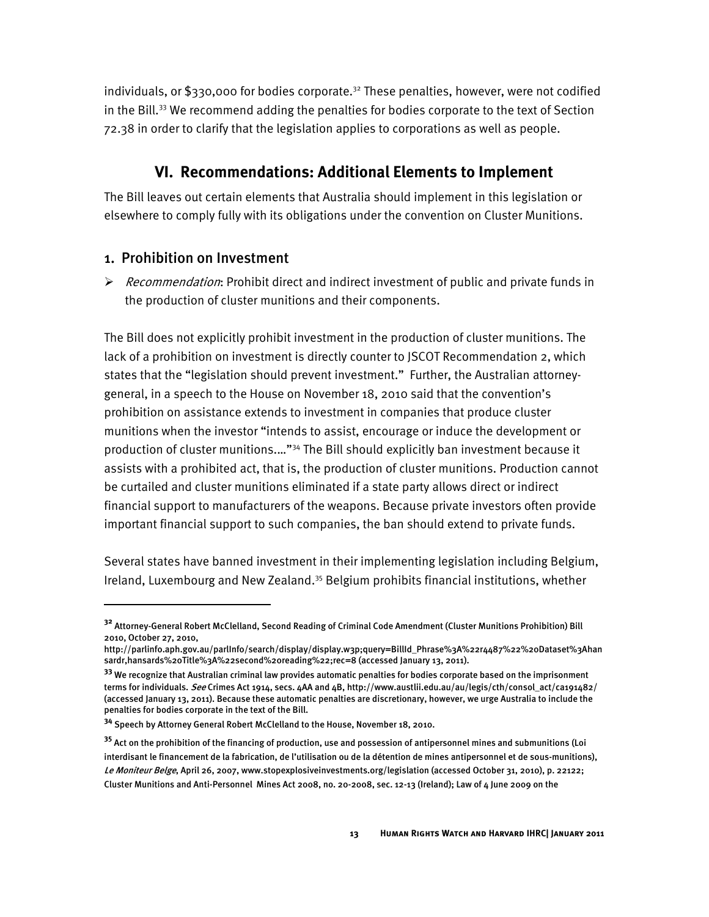individuals, or \$330,000 for bodies corporate.<sup>32</sup> These penalties, however, were not codified in the Bill. $33$  We recommend adding the penalties for bodies corporate to the text of Section 72.38 in order to clarify that the legislation applies to corporations as well as people.

## **VI. Recommendations: Additional Elements to Implement**

<span id="page-16-0"></span>The Bill leaves out certain elements that Australia should implement in this legislation or elsewhere to comply fully with its obligations under the convention on Cluster Munitions.

## <span id="page-16-1"></span>1. Prohibition on Investment

I

 $\triangleright$  Recommendation: Prohibit direct and indirect investment of public and private funds in the production of cluster munitions and their components.

The Bill does not explicitly prohibit investment in the production of cluster munitions. The lack of a prohibition on investment is directly counter to JSCOT Recommendation 2, which states that the "legislation should prevent investment." Further, the Australian attorneygeneral, in a speech to the House on November 18, 2010 said that the convention's prohibition on assistance extends to investment in companies that produce cluster munitions when the investor "intends to assist, encourage or induce the development or production of cluster munitions.…"<sup>34</sup> The Bill should explicitly ban investment because it assists with a prohibited act, that is, the production of cluster munitions. Production cannot be curtailed and cluster munitions eliminated if a state party allows direct or indirect financial support to manufacturers of the weapons. Because private investors often provide important financial support to such companies, the ban should extend to private funds.

Several states have banned investment in their implementing legislation including Belgium, Ireland, Luxembourg and New Zealand.<sup>35</sup> Belgium prohibits financial institutions, whether

**<sup>32</sup>** Attorney-General Robert McClelland, Second Reading of Criminal Code Amendment (Cluster Munitions Prohibition) Bill 2010, October 27, 2010,

http://parlinfo.aph.gov.au/parlInfo/search/display/display.w3p;query=BillId\_Phrase%3A%22r4487%22%20Dataset%3Ahan sardr,hansards%20Title%3A%22second%20reading%22;rec=8 (accessed January 13, 2011).

**<sup>33</sup>** We recognize that Australian criminal law provides automatic penalties for bodies corporate based on the imprisonment terms for individuals. See Crimes Act 1914, secs. 4AA and 4B, http://www.austlii.edu.au/au/legis/cth/consol\_act/ca191482/ (accessed January 13, 2011). Because these automatic penalties are discretionary, however, we urge Australia to include the penalties for bodies corporate in the text of the Bill.

**<sup>34</sup>** Speech by Attorney General Robert McClelland to the House, November 18, 2010.

**<sup>35</sup>** Act on the prohibition of the financing of production, use and possession of antipersonnel mines and submunitions (Loi interdisant le financement de la fabrication, de l'utilisation ou de la détention de mines antipersonnel et de sous-munitions), Le Moniteur Belge, April 26, 2007, www.stopexplosiveinvestments.org/legislation (accessed October 31, 2010), p. 22122; Cluster Munitions and Anti-Personnel Mines Act 2008, no. 20-2008, sec. 12-13 (Ireland); Law of 4 June 2009 on the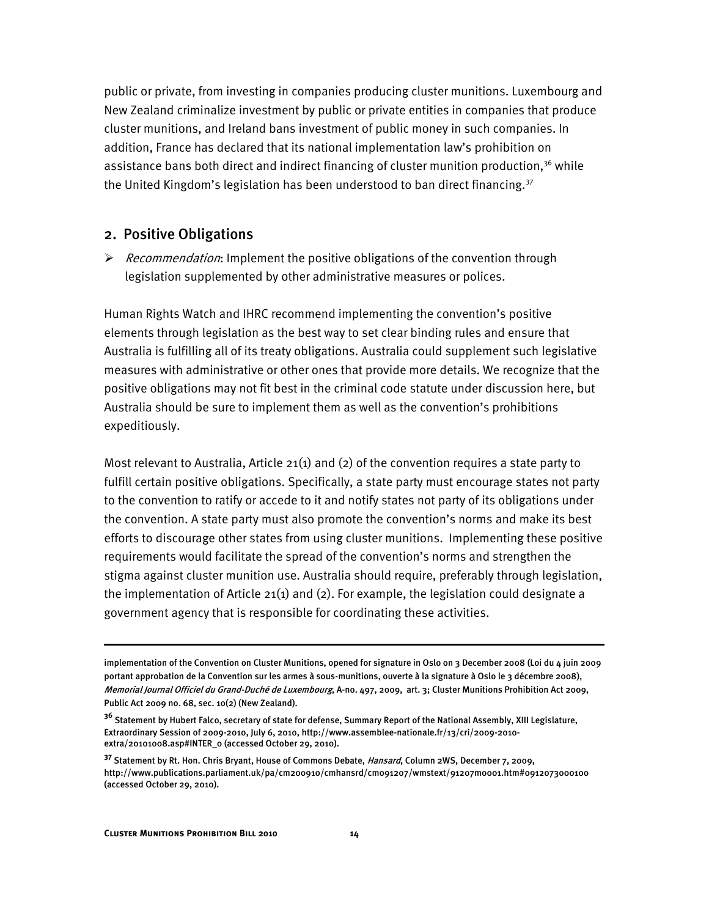public or private, from investing in companies producing cluster munitions. Luxembourg and New Zealand criminalize investment by public or private entities in companies that produce cluster munitions, and Ireland bans investment of public money in such companies. In addition, France has declared that its national implementation law's prohibition on assistance bans both direct and indirect financing of cluster munition production,<sup>36</sup> while the United Kingdom's legislation has been understood to ban direct financing. $37$ 

#### <span id="page-17-0"></span>2. Positive Obligations

 $\triangleright$  Recommendation: Implement the positive obligations of the convention through legislation supplemented by other administrative measures or polices.

Human Rights Watch and IHRC recommend implementing the convention's positive elements through legislation as the best way to set clear binding rules and ensure that Australia is fulfilling all of its treaty obligations. Australia could supplement such legislative measures with administrative or other ones that provide more details. We recognize that the positive obligations may not fit best in the criminal code statute under discussion here, but Australia should be sure to implement them as well as the convention's prohibitions expeditiously.

Most relevant to Australia, Article 21(1) and (2) of the convention requires a state party to fulfill certain positive obligations. Specifically, a state party must encourage states not party to the convention to ratify or accede to it and notify states not party of its obligations under the convention. A state party must also promote the convention's norms and make its best efforts to discourage other states from using cluster munitions. Implementing these positive requirements would facilitate the spread of the convention's norms and strengthen the stigma against cluster munition use. Australia should require, preferably through legislation, the implementation of Article  $21(1)$  and  $(2)$ . For example, the legislation could designate a government agency that is responsible for coordinating these activities.

ֺ

implementation of the Convention on Cluster Munitions, opened for signature in Oslo on 3 December 2008 (Loi du 4 juin 2009 portant approbation de la Convention sur les armes à sous-munitions, ouverte à la signature à Oslo le 3 décembre 2008), Memorial Journal Officiel du Grand-Duché de Luxembourg, A-no. 497, 2009, art. 3; Cluster Munitions Prohibition Act 2009, Public Act 2009 no. 68, sec. 10(2) (New Zealand).

**<sup>36</sup>** Statement by Hubert Falco, secretary of state for defense, Summary Report of the National Assembly, XIII Legislature, Extraordinary Session of 2009-2010, July 6, 2010, http://www.assemblee-nationale.fr/13/cri/2009-2010 extra/20101008.asp#INTER\_0 (accessed October 29, 2010).

**<sup>37</sup>** Statement by Rt. Hon. Chris Bryant, House of Commons Debate, Hansard, Column 2WS, December 7, 2009, http://www.publications.parliament.uk/pa/cm200910/cmhansrd/cm091207/wmstext/91207m0001.htm#0912073000100 (accessed October 29, 2010).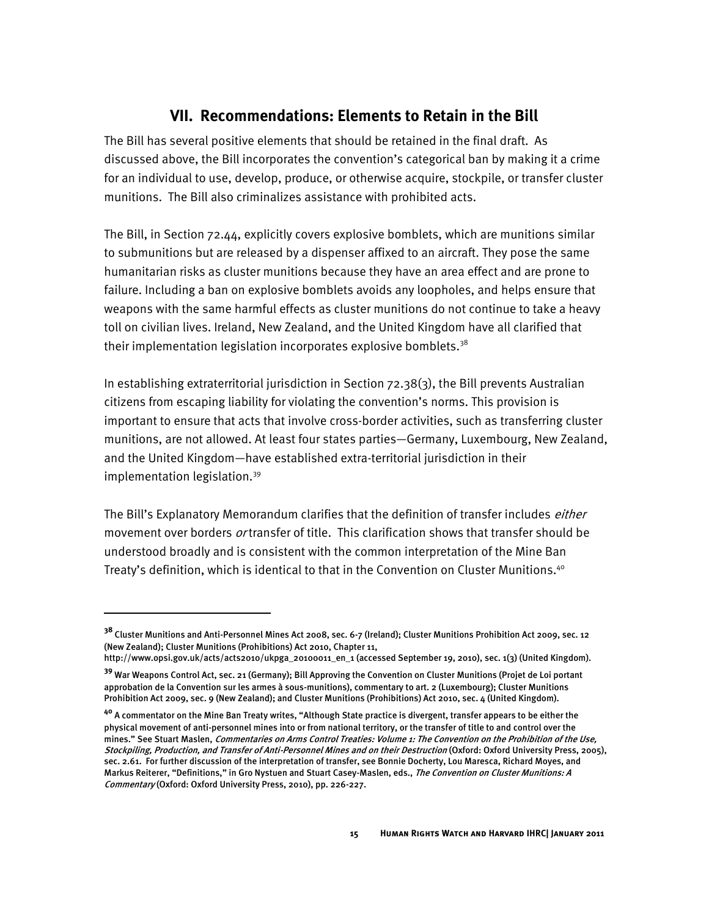## **VII. Recommendations: Elements to Retain in the Bill**

<span id="page-18-0"></span>The Bill has several positive elements that should be retained in the final draft. As discussed above, the Bill incorporates the convention's categorical ban by making it a crime for an individual to use, develop, produce, or otherwise acquire, stockpile, or transfer cluster munitions. The Bill also criminalizes assistance with prohibited acts.

The Bill, in Section 72.44, explicitly covers explosive bomblets, which are munitions similar to submunitions but are released by a dispenser affixed to an aircraft. They pose the same humanitarian risks as cluster munitions because they have an area effect and are prone to failure. Including a ban on explosive bomblets avoids any loopholes, and helps ensure that weapons with the same harmful effects as cluster munitions do not continue to take a heavy toll on civilian lives. Ireland, New Zealand, and the United Kingdom have all clarified that their implementation legislation incorporates explosive bomblets. $38$ 

In establishing extraterritorial jurisdiction in Section 72.38(3), the Bill prevents Australian citizens from escaping liability for violating the convention's norms. This provision is important to ensure that acts that involve cross-border activities, such as transferring cluster munitions, are not allowed. At least four states parties—Germany, Luxembourg, New Zealand, and the United Kingdom—have established extra-territorial jurisdiction in their implementation legislation.<sup>39</sup>

The Bill's Explanatory Memorandum clarifies that the definition of transfer includes *either* movement over borders *or* transfer of title. This clarification shows that transfer should be understood broadly and is consistent with the common interpretation of the Mine Ban Treaty's definition, which is identical to that in the Convention on Cluster Munitions.<sup>40</sup>

**<sup>38</sup>** Cluster Munitions and Anti-Personnel Mines Act 2008, sec. 6-7 (Ireland); Cluster Munitions Prohibition Act 2009, sec. 12 (New Zealand); Cluster Munitions (Prohibitions) Act 2010, Chapter 11,

http://www.opsi.gov.uk/acts/acts2010/ukpga\_20100011\_en\_1 (accessed September 19, 2010), sec. 1(3) (United Kingdom).

**<sup>39</sup>** War Weapons Control Act, sec. 21 (Germany); Bill Approving the Convention on Cluster Munitions (Projet de Loi portant approbation de la Convention sur les armes à sous-munitions), commentary to art. 2 (Luxembourg); Cluster Munitions Prohibition Act 2009, sec. 9 (New Zealand); and Cluster Munitions (Prohibitions) Act 2010, sec. 4 (United Kingdom).

**<sup>40</sup>** A commentator on the Mine Ban Treaty writes, "Although State practice is divergent, transfer appears to be either the physical movement of anti-personnel mines into or from national territory, or the transfer of title to and control over the mines." See Stuart Maslen, Commentaries on Arms Control Treaties: Volume 1: The Convention on the Prohibition of the Use, Stockpiling, Production, and Transfer of Anti-Personnel Mines and on their Destruction (Oxford: Oxford University Press, 2005), sec. 2.61. For further discussion of the interpretation of transfer, see Bonnie Docherty, Lou Maresca, Richard Moyes, and Markus Reiterer, "Definitions," in Gro Nystuen and Stuart Casey-Maslen, eds., The Convention on Cluster Munitions: A Commentary (Oxford: Oxford University Press, 2010), pp. 226-227.